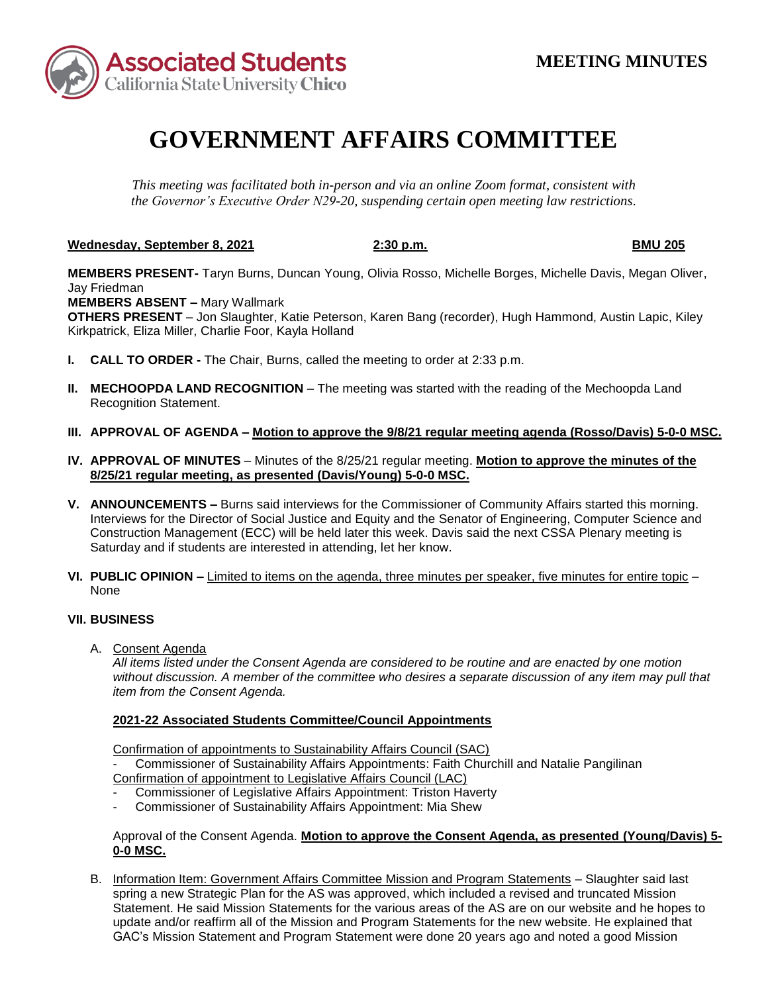

# **GOVERNMENT AFFAIRS COMMITTEE**

*This meeting was facilitated both in-person and via an online Zoom format, consistent with the Governor's Executive Order N29-20, suspending certain open meeting law restrictions.* 

**Wednesday, September 8, 2021 2:30 p.m. BMU 205** 

**MEMBERS PRESENT-** Taryn Burns, Duncan Young, Olivia Rosso, Michelle Borges, Michelle Davis, Megan Oliver, Jay Friedman

 **MEMBERS ABSENT –** Mary Wallmark

**OTHERS PRESENT** – Jon Slaughter, Katie Peterson, Karen Bang (recorder), Hugh Hammond, Austin Lapic, Kiley Kirkpatrick, Eliza Miller, Charlie Foor, Kayla Holland

- **I. CALL TO ORDER -** The Chair, Burns, called the meeting to order at 2:33 p.m.
- **II. MECHOOPDA LAND RECOGNITION** The meeting was started with the reading of the Mechoopda Land Recognition Statement.
- **III. APPROVAL OF AGENDA – Motion to approve the 9/8/21 regular meeting agenda (Rosso/Davis) 5-0-0 MSC.**
- **IV. APPROVAL OF MINUTES**  Minutes of the 8/25/21 regular meeting. **Motion to approve the minutes of the 8/25/21 regular meeting, as presented (Davis/Young) 5-0-0 MSC.**
- Interviews for the Director of Social Justice and Equity and the Senator of Engineering, Computer Science and Construction Management (ECC) will be held later this week. Davis said the next CSSA Plenary meeting is **V. ANNOUNCEMENTS –** Burns said interviews for the Commissioner of Community Affairs started this morning. Saturday and if students are interested in attending, let her know.
- **VI. PUBLIC OPINION –** Limited to items on the agenda, three minutes per speaker, five minutes for entire topic None

## **VII. BUSINESS**

A. Consent Agenda

*All items listed under the Consent Agenda are considered to be routine and are enacted by one motion without discussion. A member of the committee who desires a separate discussion of any item may pull that item from the Consent Agenda.* 

## **2021-22 Associated Students Committee/Council Appointments**

**Confirmation of appointments to Sustainability Affairs Council (SAC)** 

Commissioner of Sustainability Affairs Appointments: Faith Churchill and Natalie Pangilinan Confirmation of appointment to Legislative Affairs Council (LAC)

- Commissioner of Legislative Affairs Appointment: Triston Haverty
- Commissioner of Sustainability Affairs Appointment: Mia Shew

## Approval of the Consent Agenda. **Motion to approve the Consent Agenda, as presented (Young/Davis) 5- 0-0 MSC.**

 spring a new Strategic Plan for the AS was approved, which included a revised and truncated Mission B. Information Item: Government Affairs Committee Mission and Program Statements – Slaughter said last Statement. He said Mission Statements for the various areas of the AS are on our website and he hopes to update and/or reaffirm all of the Mission and Program Statements for the new website. He explained that GAC's Mission Statement and Program Statement were done 20 years ago and noted a good Mission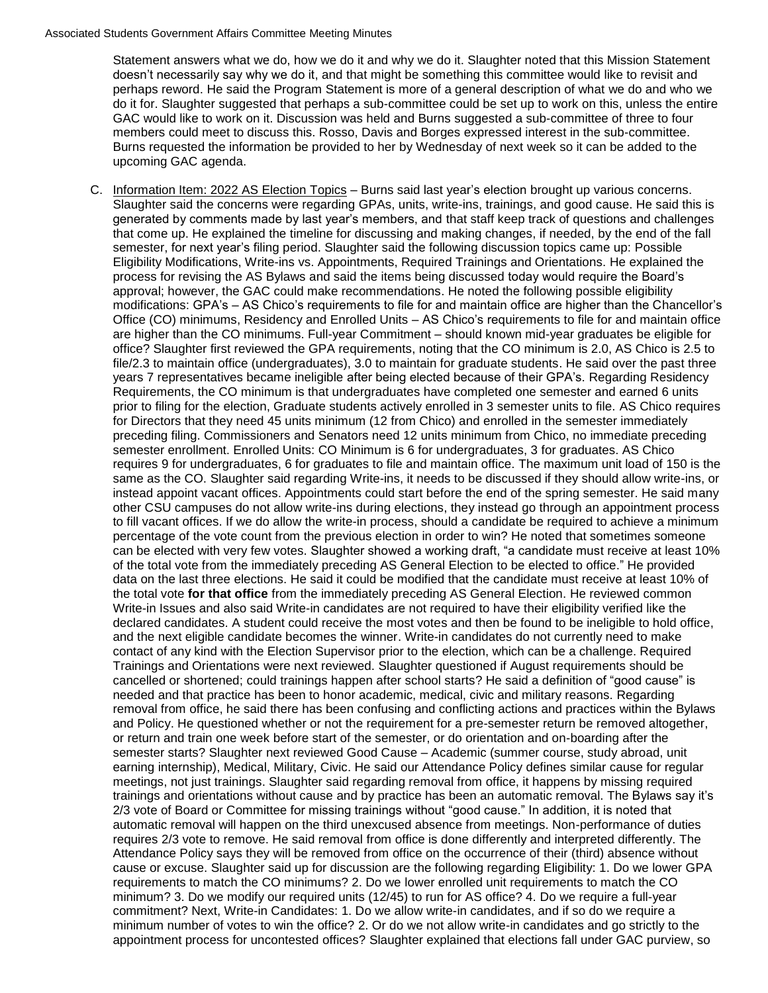#### Associated Students Government Affairs Committee Meeting Minutes

 Statement answers what we do, how we do it and why we do it. Slaughter noted that this Mission Statement doesn't necessarily say why we do it, and that might be something this committee would like to revisit and perhaps reword. He said the Program Statement is more of a general description of what we do and who we do it for. Slaughter suggested that perhaps a sub-committee could be set up to work on this, unless the entire GAC would like to work on it. Discussion was held and Burns suggested a sub-committee of three to four members could meet to discuss this. Rosso, Davis and Borges expressed interest in the sub-committee. Burns requested the information be provided to her by Wednesday of next week so it can be added to the upcoming GAC agenda.

 generated by comments made by last year's members, and that staff keep track of questions and challenges process for revising the AS Bylaws and said the items being discussed today would require the Board's Requirements, the CO minimum is that undergraduates have completed one semester and earned 6 units prior to filing for the election, Graduate students actively enrolled in 3 semester units to file. AS Chico requires for Directors that they need 45 units minimum (12 from Chico) and enrolled in the semester immediately can be elected with very few votes. Slaughter showed a working draft, "a candidate must receive at least 10% Write-in Issues and also said Write-in candidates are not required to have their eligibility verified like the removal from office, he said there has been confusing and conflicting actions and practices within the Bylaws or return and train one week before start of the semester, or do orientation and on-boarding after the trainings and orientations without cause and by practice has been an automatic removal. The Bylaws say it's 2/3 vote of Board or Committee for missing trainings without "good cause." In addition, it is noted that requires 2/3 vote to remove. He said removal from office is done differently and interpreted differently. The minimum number of votes to win the office? 2. Or do we not allow write-in candidates and go strictly to the C. Information Item: 2022 AS Election Topics – Burns said last year's election brought up various concerns. Slaughter said the concerns were regarding GPAs, units, write-ins, trainings, and good cause. He said this is that come up. He explained the timeline for discussing and making changes, if needed, by the end of the fall semester, for next year's filing period. Slaughter said the following discussion topics came up: Possible Eligibility Modifications, Write-ins vs. Appointments, Required Trainings and Orientations. He explained the approval; however, the GAC could make recommendations. He noted the following possible eligibility modifications: GPA's – AS Chico's requirements to file for and maintain office are higher than the Chancellor's Office (CO) minimums, Residency and Enrolled Units – AS Chico's requirements to file for and maintain office are higher than the CO minimums. Full-year Commitment – should known mid-year graduates be eligible for office? Slaughter first reviewed the GPA requirements, noting that the CO minimum is 2.0, AS Chico is 2.5 to file/2.3 to maintain office (undergraduates), 3.0 to maintain for graduate students. He said over the past three years 7 representatives became ineligible after being elected because of their GPA's. Regarding Residency preceding filing. Commissioners and Senators need 12 units minimum from Chico, no immediate preceding semester enrollment. Enrolled Units: CO Minimum is 6 for undergraduates, 3 for graduates. AS Chico requires 9 for undergraduates, 6 for graduates to file and maintain office. The maximum unit load of 150 is the same as the CO. Slaughter said regarding Write-ins, it needs to be discussed if they should allow write-ins, or instead appoint vacant offices. Appointments could start before the end of the spring semester. He said many other CSU campuses do not allow write-ins during elections, they instead go through an appointment process to fill vacant offices. If we do allow the write-in process, should a candidate be required to achieve a minimum percentage of the vote count from the previous election in order to win? He noted that sometimes someone of the total vote from the immediately preceding AS General Election to be elected to office." He provided data on the last three elections. He said it could be modified that the candidate must receive at least 10% of the total vote **for that office** from the immediately preceding AS General Election. He reviewed common declared candidates. A student could receive the most votes and then be found to be ineligible to hold office, and the next eligible candidate becomes the winner. Write-in candidates do not currently need to make contact of any kind with the Election Supervisor prior to the election, which can be a challenge. Required Trainings and Orientations were next reviewed. Slaughter questioned if August requirements should be cancelled or shortened; could trainings happen after school starts? He said a definition of "good cause" is needed and that practice has been to honor academic, medical, civic and military reasons. Regarding and Policy. He questioned whether or not the requirement for a pre-semester return be removed altogether, semester starts? Slaughter next reviewed Good Cause – Academic (summer course, study abroad, unit earning internship), Medical, Military, Civic. He said our Attendance Policy defines similar cause for regular meetings, not just trainings. Slaughter said regarding removal from office, it happens by missing required automatic removal will happen on the third unexcused absence from meetings. Non-performance of duties Attendance Policy says they will be removed from office on the occurrence of their (third) absence without cause or excuse. Slaughter said up for discussion are the following regarding Eligibility: 1. Do we lower GPA requirements to match the CO minimums? 2. Do we lower enrolled unit requirements to match the CO minimum? 3. Do we modify our required units (12/45) to run for AS office? 4. Do we require a full-year commitment? Next, Write-in Candidates: 1. Do we allow write-in candidates, and if so do we require a appointment process for uncontested offices? Slaughter explained that elections fall under GAC purview, so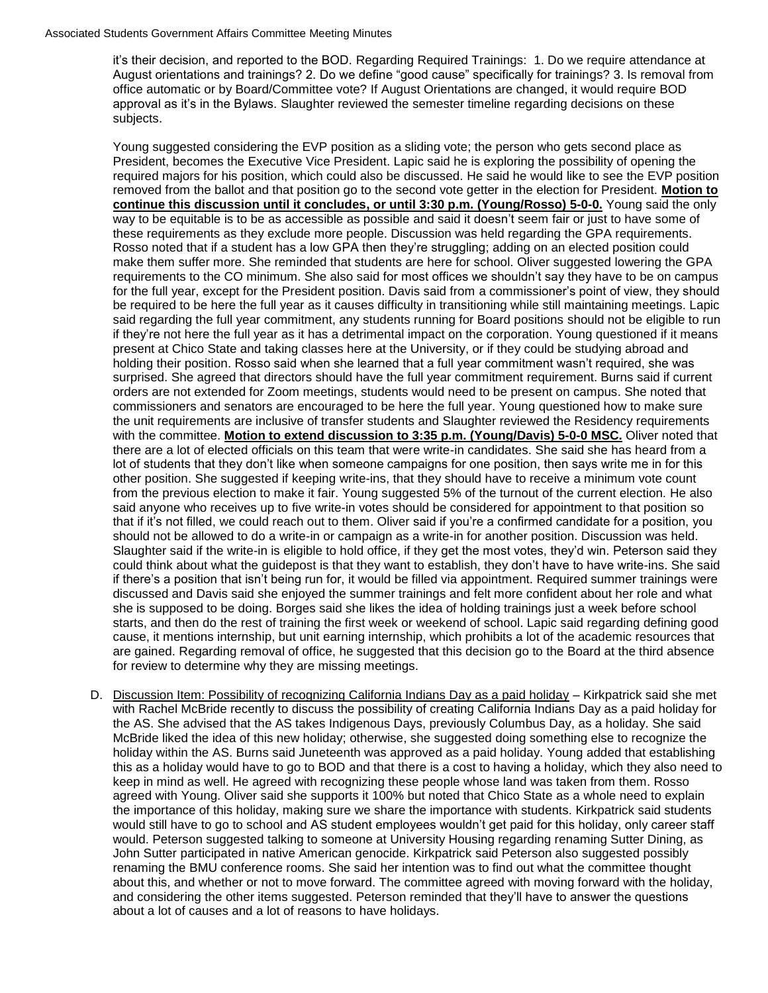approval as it's in the Bylaws. Slaughter reviewed the semester timeline regarding decisions on these it's their decision, and reported to the BOD. Regarding Required Trainings: 1. Do we require attendance at August orientations and trainings? 2. Do we define "good cause" specifically for trainings? 3. Is removal from office automatic or by Board/Committee vote? If August Orientations are changed, it would require BOD subjects.

 Young suggested considering the EVP position as a sliding vote; the person who gets second place as required majors for his position, which could also be discussed. He said he would like to see the EVP position requirements to the CO minimum. She also said for most offices we shouldn't say they have to be on campus be required to be here the full year as it causes difficulty in transitioning while still maintaining meetings. Lapic said regarding the full year commitment, any students running for Board positions should not be eligible to run holding their position. Rosso said when she learned that a full year commitment wasn't required, she was said anyone who receives up to five write-in votes should be considered for appointment to that position so could think about what the guidepost is that they want to establish, they don't have to have write-ins. She said discussed and Davis said she enjoyed the summer trainings and felt more confident about her role and what are gained. Regarding removal of office, he suggested that this decision go to the Board at the third absence President, becomes the Executive Vice President. Lapic said he is exploring the possibility of opening the removed from the ballot and that position go to the second vote getter in the election for President. **Motion to continue this discussion until it concludes, or until 3:30 p.m. (Young/Rosso) 5-0-0.** Young said the only way to be equitable is to be as accessible as possible and said it doesn't seem fair or just to have some of these requirements as they exclude more people. Discussion was held regarding the GPA requirements. Rosso noted that if a student has a low GPA then they're struggling; adding on an elected position could make them suffer more. She reminded that students are here for school. Oliver suggested lowering the GPA for the full year, except for the President position. Davis said from a commissioner's point of view, they should if they're not here the full year as it has a detrimental impact on the corporation. Young questioned if it means present at Chico State and taking classes here at the University, or if they could be studying abroad and surprised. She agreed that directors should have the full year commitment requirement. Burns said if current orders are not extended for Zoom meetings, students would need to be present on campus. She noted that commissioners and senators are encouraged to be here the full year. Young questioned how to make sure the unit requirements are inclusive of transfer students and Slaughter reviewed the Residency requirements with the committee. **Motion to extend discussion to 3:35 p.m. (Young/Davis) 5-0-0 MSC.** Oliver noted that there are a lot of elected officials on this team that were write-in candidates. She said she has heard from a lot of students that they don't like when someone campaigns for one position, then says write me in for this other position. She suggested if keeping write-ins, that they should have to receive a minimum vote count from the previous election to make it fair. Young suggested 5% of the turnout of the current election. He also that if it's not filled, we could reach out to them. Oliver said if you're a confirmed candidate for a position, you should not be allowed to do a write-in or campaign as a write-in for another position. Discussion was held. Slaughter said if the write-in is eligible to hold office, if they get the most votes, they'd win. Peterson said they if there's a position that isn't being run for, it would be filled via appointment. Required summer trainings were she is supposed to be doing. Borges said she likes the idea of holding trainings just a week before school starts, and then do the rest of training the first week or weekend of school. Lapic said regarding defining good cause, it mentions internship, but unit earning internship, which prohibits a lot of the academic resources that for review to determine why they are missing meetings.

 holiday within the AS. Burns said Juneteenth was approved as a paid holiday. Young added that establishing this as a holiday would have to go to BOD and that there is a cost to having a holiday, which they also need to D. Discussion Item: Possibility of recognizing California Indians Day as a paid holiday – Kirkpatrick said she met with Rachel McBride recently to discuss the possibility of creating California Indians Day as a paid holiday for the AS. She advised that the AS takes Indigenous Days, previously Columbus Day, as a holiday. She said McBride liked the idea of this new holiday; otherwise, she suggested doing something else to recognize the keep in mind as well. He agreed with recognizing these people whose land was taken from them. Rosso agreed with Young. Oliver said she supports it 100% but noted that Chico State as a whole need to explain the importance of this holiday, making sure we share the importance with students. Kirkpatrick said students would still have to go to school and AS student employees wouldn't get paid for this holiday, only career staff would. Peterson suggested talking to someone at University Housing regarding renaming Sutter Dining, as John Sutter participated in native American genocide. Kirkpatrick said Peterson also suggested possibly renaming the BMU conference rooms. She said her intention was to find out what the committee thought about this, and whether or not to move forward. The committee agreed with moving forward with the holiday, and considering the other items suggested. Peterson reminded that they'll have to answer the questions about a lot of causes and a lot of reasons to have holidays.